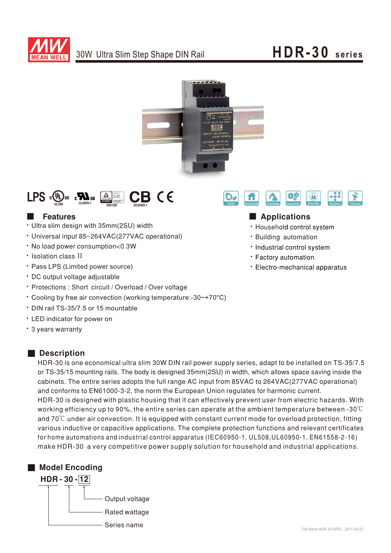

# **HDR-30 seri es**





### **Execution** Features

- Ultra slim design with 35mm(2SU) width
- Universal input 85~264VAC(277VAC operational)
- No load power consumption<0.3W
- Isolation class II
- Pass LPS (Limited power source)
- DC output voltage adjustable
- Protections: Short circuit / Overload / Over voltage
- Cooling by free air convection (working temperature:-30~+70°C)
- ‧DIN rail TS-35/7.5 or 15 mountable
- ‧ED indicator for power on
- 3 years warranty

#### ■ Description

HDR-30 is one economical ultra slim 30W DIN rail power supply series, adapt to be installed on TS-35/7.5 or TS-35/15 mounting rails. The body is designed 35mm(2SU) in width, which allows space saving inside the cabinets. The entire series adopts the full range AC input from 85VAC to 264VAC(277VAC operational) and conforms to EN61000-3-2, the norm the European Union regulates for harmonic current. HDR-30 is designed with plastic housing that it can effectively prevent user from electric hazards. With working efficiency up to 90%, the entire series can operate at the ambient temperature between -30 $\degree$ C and  $70^{\circ}$ C under air convection. It is equipped with constant current mode for overload protection, fitting various inductive or capacitive applications. The complete protection functions and relevant certificates for home automations and industrial control apparatus (IEC60950-1, UL508, UL60950-1, EN61558-2-16) make HDR-30 a very competitive power supply solution for household and industrial applications.





### ■ Applications

- · Household control system
- **· Building automation**
- Industrial control system
- **· Factory automation**
- Electro-mechanical apparatus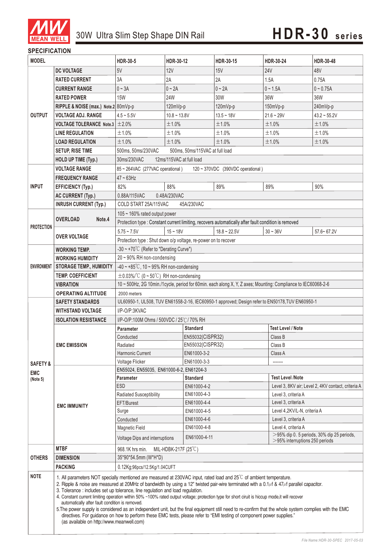

#### **SPECIFICATION**

| <b>MODEL</b>           |                                                                                                                                                                                                                                                                                                                                                                                                                                                                                                                                                                                                                                                                                                                                                                                                                                                                                         | <b>HDR-30-5</b>                                                                                                                      | HDR-30-12                          | HDR-30-15                                                                                            | HDR-30-24                                          | HDR-30-48                |  |
|------------------------|-----------------------------------------------------------------------------------------------------------------------------------------------------------------------------------------------------------------------------------------------------------------------------------------------------------------------------------------------------------------------------------------------------------------------------------------------------------------------------------------------------------------------------------------------------------------------------------------------------------------------------------------------------------------------------------------------------------------------------------------------------------------------------------------------------------------------------------------------------------------------------------------|--------------------------------------------------------------------------------------------------------------------------------------|------------------------------------|------------------------------------------------------------------------------------------------------|----------------------------------------------------|--------------------------|--|
|                        | <b>DC VOLTAGE</b>                                                                                                                                                                                                                                                                                                                                                                                                                                                                                                                                                                                                                                                                                                                                                                                                                                                                       | 5V                                                                                                                                   | <b>12V</b>                         | 15V                                                                                                  | <b>24V</b>                                         | 48V                      |  |
| <b>OUTPUT</b>          | <b>RATED CURRENT</b>                                                                                                                                                                                                                                                                                                                                                                                                                                                                                                                                                                                                                                                                                                                                                                                                                                                                    | 3A                                                                                                                                   | 2A                                 | 2A                                                                                                   | 1.5A                                               | 0.75A                    |  |
|                        | <b>CURRENT RANGE</b>                                                                                                                                                                                                                                                                                                                                                                                                                                                                                                                                                                                                                                                                                                                                                                                                                                                                    | $0 \sim 3A$                                                                                                                          | $0 - 2A$                           | $0 \sim 2A$                                                                                          | $0 - 1.5A$                                         | $0 - 0.75A$              |  |
|                        | <b>RATED POWER</b>                                                                                                                                                                                                                                                                                                                                                                                                                                                                                                                                                                                                                                                                                                                                                                                                                                                                      | <b>15W</b>                                                                                                                           | 24W                                | 30W                                                                                                  | 36W                                                | 36W                      |  |
|                        | RIPPLE & NOISE (max.) Note.2 80mVp-p                                                                                                                                                                                                                                                                                                                                                                                                                                                                                                                                                                                                                                                                                                                                                                                                                                                    |                                                                                                                                      | 120mVp-p                           | 120mVp-p                                                                                             | 150mVp-p                                           | 240mVp-p                 |  |
|                        | <b>VOLTAGE ADJ. RANGE</b>                                                                                                                                                                                                                                                                                                                                                                                                                                                                                                                                                                                                                                                                                                                                                                                                                                                               | $4.5 - 5.5V$                                                                                                                         | $10.8 - 13.8V$                     | $13.5 - 18V$                                                                                         | $21.6 - 29V$                                       | $43.2 - 55.2V$           |  |
|                        | <b>VOLTAGE TOLERANCE Note.3</b>                                                                                                                                                                                                                                                                                                                                                                                                                                                                                                                                                                                                                                                                                                                                                                                                                                                         | $\pm 2.0\%$                                                                                                                          | ±1.0%                              | ±1.0%                                                                                                | ±1.0%                                              | ±1.0%                    |  |
|                        | <b>LINE REGULATION</b>                                                                                                                                                                                                                                                                                                                                                                                                                                                                                                                                                                                                                                                                                                                                                                                                                                                                  | ±1.0%                                                                                                                                | ±1.0%                              | ±1.0%                                                                                                | ±1.0%                                              | ±1.0%                    |  |
|                        | <b>LOAD REGULATION</b>                                                                                                                                                                                                                                                                                                                                                                                                                                                                                                                                                                                                                                                                                                                                                                                                                                                                  | ±1.0%                                                                                                                                | ±1.0%                              | ±1.0%                                                                                                | ±1.0%                                              | ±1.0%                    |  |
|                        | <b>SETUP, RISE TIME</b>                                                                                                                                                                                                                                                                                                                                                                                                                                                                                                                                                                                                                                                                                                                                                                                                                                                                 | 500ms, 50ms/230VAC                                                                                                                   | 500ms, 50ms/115VAC at full load    |                                                                                                      |                                                    |                          |  |
|                        | <b>HOLD UP TIME (Typ.)</b>                                                                                                                                                                                                                                                                                                                                                                                                                                                                                                                                                                                                                                                                                                                                                                                                                                                              | 30ms/230VAC<br>12ms/115VAC at full load                                                                                              |                                    |                                                                                                      |                                                    |                          |  |
|                        | <b>VOLTAGE RANGE</b>                                                                                                                                                                                                                                                                                                                                                                                                                                                                                                                                                                                                                                                                                                                                                                                                                                                                    | 85 ~ 264VAC (277VAC operational)<br>120 ~ 370VDC (390VDC operational)                                                                |                                    |                                                                                                      |                                                    |                          |  |
| <b>INPUT</b>           | <b>FREQUENCY RANGE</b>                                                                                                                                                                                                                                                                                                                                                                                                                                                                                                                                                                                                                                                                                                                                                                                                                                                                  | $47 - 63$ Hz                                                                                                                         |                                    |                                                                                                      |                                                    |                          |  |
|                        | <b>EFFICIENCY (Typ.)</b>                                                                                                                                                                                                                                                                                                                                                                                                                                                                                                                                                                                                                                                                                                                                                                                                                                                                | 82%                                                                                                                                  | 88%                                | 89%                                                                                                  | 89%                                                | 90%                      |  |
|                        | <b>AC CURRENT (Typ.)</b>                                                                                                                                                                                                                                                                                                                                                                                                                                                                                                                                                                                                                                                                                                                                                                                                                                                                | 0.88A/115VAC                                                                                                                         |                                    |                                                                                                      |                                                    |                          |  |
|                        | <b>INRUSH CURRENT (Typ.)</b>                                                                                                                                                                                                                                                                                                                                                                                                                                                                                                                                                                                                                                                                                                                                                                                                                                                            | 0.48A/230VAC<br>COLD START 25A/115VAC<br>45A/230VAC                                                                                  |                                    |                                                                                                      |                                                    |                          |  |
|                        | <b>OVERLOAD</b><br>Note.4                                                                                                                                                                                                                                                                                                                                                                                                                                                                                                                                                                                                                                                                                                                                                                                                                                                               | 105 $\sim$ 160% rated output power                                                                                                   |                                    |                                                                                                      |                                                    |                          |  |
|                        |                                                                                                                                                                                                                                                                                                                                                                                                                                                                                                                                                                                                                                                                                                                                                                                                                                                                                         |                                                                                                                                      |                                    | Protection type : Constant current limiting, recovers automatically after fault condition is removed |                                                    |                          |  |
| <b>PROTECTION</b>      |                                                                                                                                                                                                                                                                                                                                                                                                                                                                                                                                                                                                                                                                                                                                                                                                                                                                                         |                                                                                                                                      |                                    |                                                                                                      |                                                    |                          |  |
|                        | <b>OVER VOLTAGE</b>                                                                                                                                                                                                                                                                                                                                                                                                                                                                                                                                                                                                                                                                                                                                                                                                                                                                     | $5.75 - 7.5V$                                                                                                                        | $15 - 18V$                         | $18.8 - 22.5V$                                                                                       | $30 - 36V$                                         | $57.6 - 67.2V$           |  |
|                        |                                                                                                                                                                                                                                                                                                                                                                                                                                                                                                                                                                                                                                                                                                                                                                                                                                                                                         | Protection type : Shut down o/p voltage, re-power on to recover<br>-30 ~ +70°C (Refer to "Derating Curve")                           |                                    |                                                                                                      |                                                    |                          |  |
|                        | <b>WORKING TEMP.</b>                                                                                                                                                                                                                                                                                                                                                                                                                                                                                                                                                                                                                                                                                                                                                                                                                                                                    | 20~90% RH non-condensing                                                                                                             |                                    |                                                                                                      |                                                    |                          |  |
|                        | <b>WORKING HUMIDITY</b>                                                                                                                                                                                                                                                                                                                                                                                                                                                                                                                                                                                                                                                                                                                                                                                                                                                                 |                                                                                                                                      |                                    |                                                                                                      |                                                    |                          |  |
| <b>ENVIRONMENT</b>     | <b>STORAGE TEMP., HUMIDITY</b>                                                                                                                                                                                                                                                                                                                                                                                                                                                                                                                                                                                                                                                                                                                                                                                                                                                          | $-40 \sim +85^{\circ}$ C, 10 ~ 95% RH non-condensing                                                                                 |                                    |                                                                                                      |                                                    |                          |  |
|                        | <b>TEMP, COEFFICIENT</b>                                                                                                                                                                                                                                                                                                                                                                                                                                                                                                                                                                                                                                                                                                                                                                                                                                                                | $\pm$ 0.03%/°C (0 ~ 50°C) RH non-condensing                                                                                          |                                    |                                                                                                      |                                                    |                          |  |
|                        | <b>VIBRATION</b>                                                                                                                                                                                                                                                                                                                                                                                                                                                                                                                                                                                                                                                                                                                                                                                                                                                                        | 10 ~ 500Hz, 2G 10min./1 cycle, period for 60min. each along X, Y, Z axes; Mounting: Compliance to IEC60068-2-6                       |                                    |                                                                                                      |                                                    |                          |  |
|                        | <b>OPERATING ALTITUDE</b>                                                                                                                                                                                                                                                                                                                                                                                                                                                                                                                                                                                                                                                                                                                                                                                                                                                               | 2000 meters                                                                                                                          |                                    |                                                                                                      |                                                    |                          |  |
|                        | <b>SAFETY STANDARDS</b>                                                                                                                                                                                                                                                                                                                                                                                                                                                                                                                                                                                                                                                                                                                                                                                                                                                                 | UL60950-1, UL508, TUV EN61558-2-16, IEC60950-1 approved; Design refer to EN50178, TUV EN60950-1<br>I/P-O/P:3KVAC                     |                                    |                                                                                                      |                                                    |                          |  |
|                        | <b>WITHSTAND VOLTAGE</b>                                                                                                                                                                                                                                                                                                                                                                                                                                                                                                                                                                                                                                                                                                                                                                                                                                                                | I/P-O/P:100M Ohms / 500VDC / 25℃/ 70% RH                                                                                             |                                    |                                                                                                      |                                                    |                          |  |
|                        | <b>ISOLATION RESISTANCE</b>                                                                                                                                                                                                                                                                                                                                                                                                                                                                                                                                                                                                                                                                                                                                                                                                                                                             |                                                                                                                                      |                                    | <b>Standard</b>                                                                                      |                                                    | <b>Test Level / Note</b> |  |
|                        | <b>EMC EMISSION</b><br><b>EMC IMMUNITY</b>                                                                                                                                                                                                                                                                                                                                                                                                                                                                                                                                                                                                                                                                                                                                                                                                                                              | Parameter<br>Conducted                                                                                                               | EN55032(CISPR32)                   |                                                                                                      | Class B                                            |                          |  |
|                        |                                                                                                                                                                                                                                                                                                                                                                                                                                                                                                                                                                                                                                                                                                                                                                                                                                                                                         | Radiated                                                                                                                             |                                    | EN55032(CISPR32)<br>Class B                                                                          |                                                    |                          |  |
|                        |                                                                                                                                                                                                                                                                                                                                                                                                                                                                                                                                                                                                                                                                                                                                                                                                                                                                                         | Harmonic Current                                                                                                                     | EN61000-3-2                        |                                                                                                      | Class A                                            |                          |  |
| <b>SAFETY &amp;</b>    |                                                                                                                                                                                                                                                                                                                                                                                                                                                                                                                                                                                                                                                                                                                                                                                                                                                                                         | Voltage Flicker<br>EN61000-3-3                                                                                                       |                                    |                                                                                                      |                                                    |                          |  |
|                        |                                                                                                                                                                                                                                                                                                                                                                                                                                                                                                                                                                                                                                                                                                                                                                                                                                                                                         | EN55024, EN55035, EN61000-6-2, EN61204-3                                                                                             |                                    |                                                                                                      |                                                    |                          |  |
| <b>EMC</b><br>(Note 5) |                                                                                                                                                                                                                                                                                                                                                                                                                                                                                                                                                                                                                                                                                                                                                                                                                                                                                         | <b>Test Level /Note</b><br>Parameter<br><b>Standard</b>                                                                              |                                    |                                                                                                      |                                                    |                          |  |
|                        |                                                                                                                                                                                                                                                                                                                                                                                                                                                                                                                                                                                                                                                                                                                                                                                                                                                                                         | <b>ESD</b>                                                                                                                           | EN61000-4-2                        |                                                                                                      | Level 3, 8KV air; Level 2, 4KV contact, criteria A |                          |  |
|                        |                                                                                                                                                                                                                                                                                                                                                                                                                                                                                                                                                                                                                                                                                                                                                                                                                                                                                         | Radiated Susceptibility                                                                                                              | EN61000-4-3                        |                                                                                                      | Level 3, criteria A                                |                          |  |
|                        |                                                                                                                                                                                                                                                                                                                                                                                                                                                                                                                                                                                                                                                                                                                                                                                                                                                                                         | EFT/Burest                                                                                                                           | EN61000-4-4                        |                                                                                                      | Level 3, criteria A                                |                          |  |
|                        |                                                                                                                                                                                                                                                                                                                                                                                                                                                                                                                                                                                                                                                                                                                                                                                                                                                                                         | Surge                                                                                                                                | EN61000-4-5                        |                                                                                                      | Level 4,2KV/L-N, criteria A                        |                          |  |
|                        |                                                                                                                                                                                                                                                                                                                                                                                                                                                                                                                                                                                                                                                                                                                                                                                                                                                                                         | Conducted                                                                                                                            | EN61000-4-6<br>Level 3, criteria A |                                                                                                      |                                                    |                          |  |
|                        |                                                                                                                                                                                                                                                                                                                                                                                                                                                                                                                                                                                                                                                                                                                                                                                                                                                                                         | Magnetic Field                                                                                                                       | EN61000-4-8<br>Level 4. criteria A |                                                                                                      |                                                    |                          |  |
|                        |                                                                                                                                                                                                                                                                                                                                                                                                                                                                                                                                                                                                                                                                                                                                                                                                                                                                                         | $>$ 95% dip 0. 5 periods, 30% dip 25 periods,<br>EN61000-4-11<br>Voltage Dips and interruptions<br>$>$ 95% interruptions 250 periods |                                    |                                                                                                      |                                                    |                          |  |
|                        | <b>MTBF</b>                                                                                                                                                                                                                                                                                                                                                                                                                                                                                                                                                                                                                                                                                                                                                                                                                                                                             | 968.1K hrs min.<br>MIL-HDBK-217F $(25^{\circ}\mathrm{C})$                                                                            |                                    |                                                                                                      |                                                    |                          |  |
| <b>OTHERS</b>          | <b>DIMENSION</b>                                                                                                                                                                                                                                                                                                                                                                                                                                                                                                                                                                                                                                                                                                                                                                                                                                                                        | 35*90*54.5mm (W*H*D)                                                                                                                 |                                    |                                                                                                      |                                                    |                          |  |
|                        | <b>PACKING</b>                                                                                                                                                                                                                                                                                                                                                                                                                                                                                                                                                                                                                                                                                                                                                                                                                                                                          | 0.12Kg;96pcs/12.5Kg/1.04CUFT                                                                                                         |                                    |                                                                                                      |                                                    |                          |  |
| <b>NOTE</b>            | 1. All parameters NOT specially mentioned are measured at 230VAC input, rated load and 25°C of ambient temperature.<br>2. Ripple & noise are measured at 20MHz of bandwidth by using a 12" twisted pair-wire terminated with a 0.1µf & 47µf parallel capacitor.<br>3. Tolerance : includes set up tolerance, line regulation and load regulation.<br>4. Constant current limiting operation within 50% ~100% rated output voltage; protection type for short ciruit is hiccup mode, it will recover<br>automatically after fault condition is removed.<br>5. The power supply is considered as an independent unit, but the final equipment still need to re-confirm that the whole system complies with the EMC<br>directives. For guidance on how to perform these EMC tests, please refer to "EMI testing of component power supplies."<br>(as available on http://www.meanwell.com) |                                                                                                                                      |                                    |                                                                                                      |                                                    |                          |  |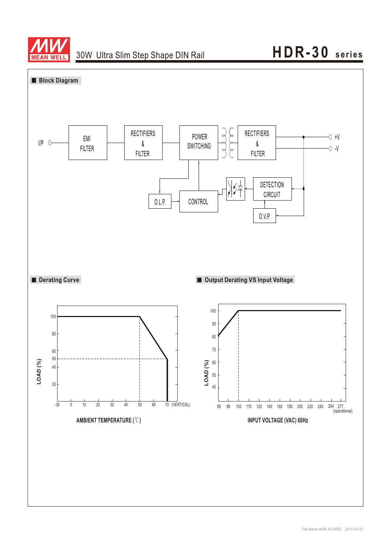

### 30W Ultra Slim Step Shape DIN Rail

# **HDR-30 seri es**